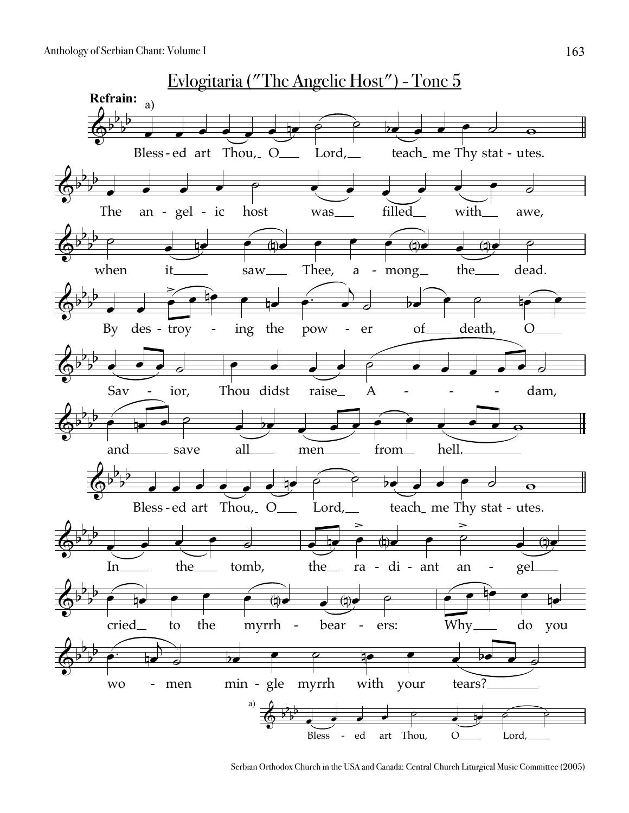

Serbian Orthodox Church in the USA and Canada: Central Church Liturgical Music Committee (2005)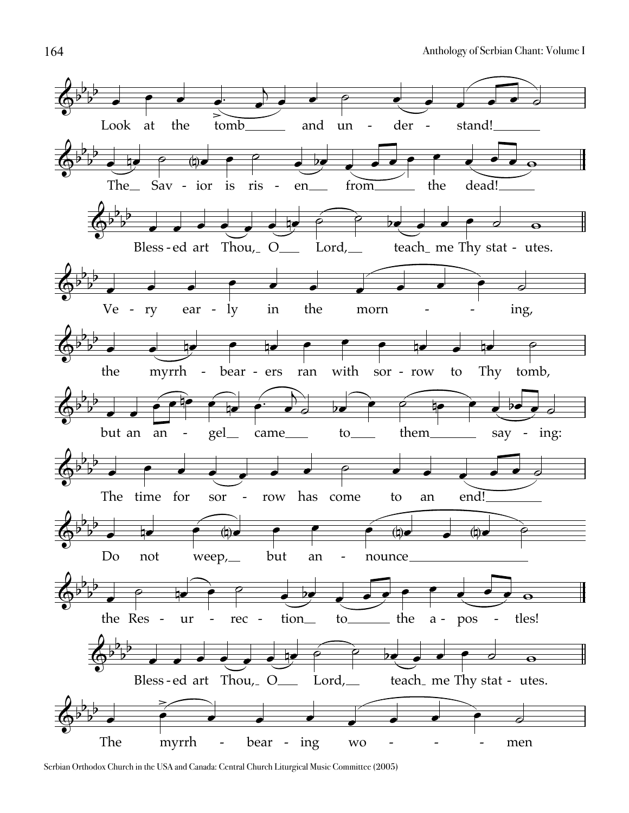

Serbian Orthodox Church in the USA and Canada: Central Church Liturgical Music Committee (2005)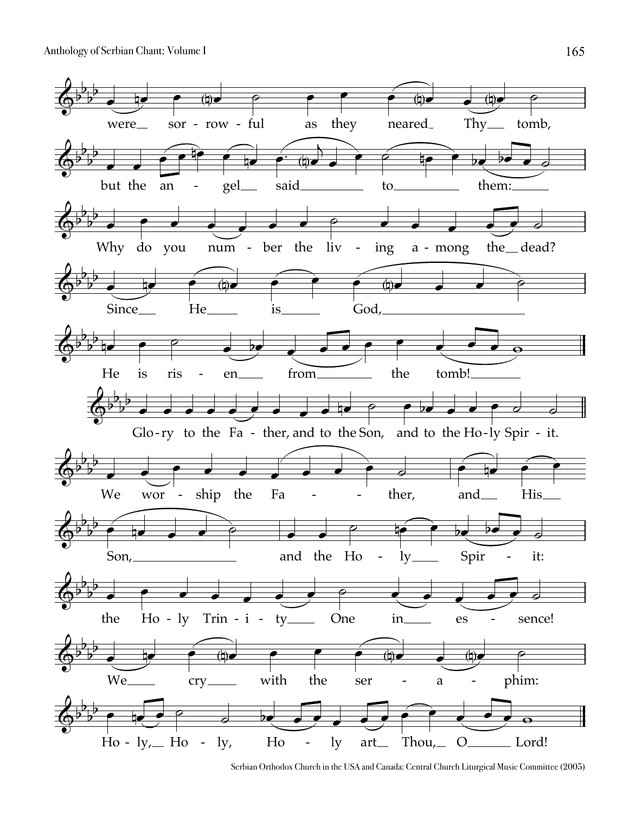Anthology of Serbian Chant: Volume I



Serbian Orthodox Church in the USA and Canada: Central Church Liturgical Music Committee (2005)